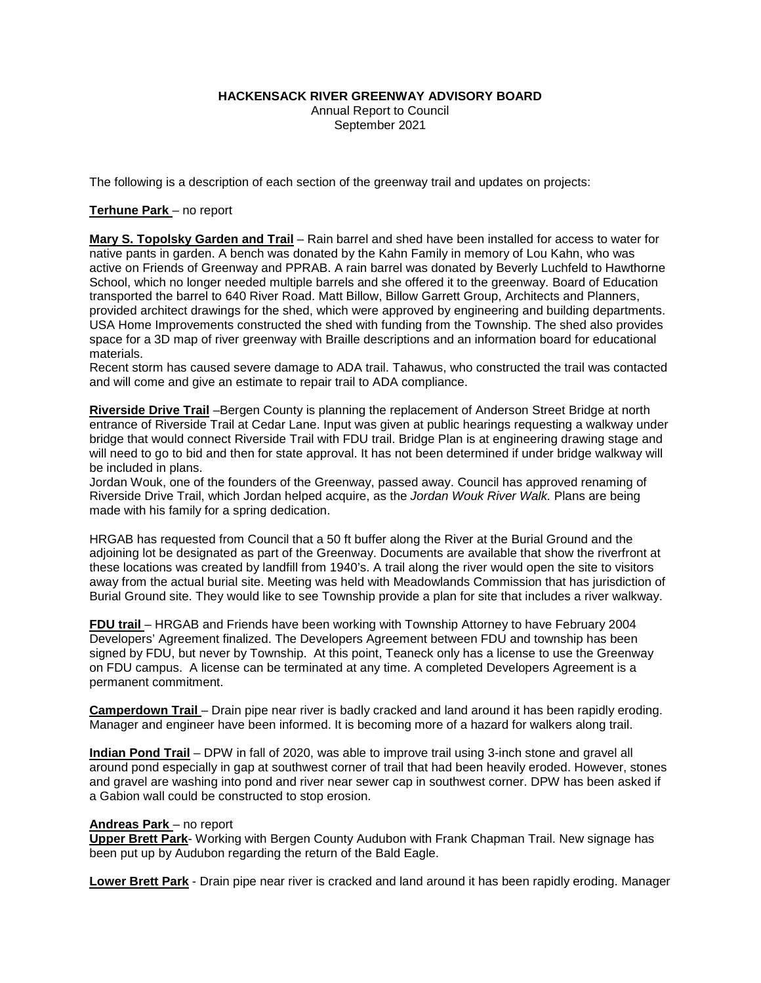**HACKENSACK RIVER GREENWAY ADVISORY BOARD**

Annual Report to Council September 2021

The following is a description of each section of the greenway trail and updates on projects:

# **Terhune Park** – no report

**Mary S. Topolsky Garden and Trail** – Rain barrel and shed have been installed for access to water for native pants in garden. A bench was donated by the Kahn Family in memory of Lou Kahn, who was active on Friends of Greenway and PPRAB. A rain barrel was donated by Beverly Luchfeld to Hawthorne School, which no longer needed multiple barrels and she offered it to the greenway. Board of Education transported the barrel to 640 River Road. Matt Billow, Billow Garrett Group, Architects and Planners, provided architect drawings for the shed, which were approved by engineering and building departments. USA Home Improvements constructed the shed with funding from the Township. The shed also provides space for a 3D map of river greenway with Braille descriptions and an information board for educational materials.

Recent storm has caused severe damage to ADA trail. Tahawus, who constructed the trail was contacted and will come and give an estimate to repair trail to ADA compliance.

**Riverside Drive Trail** –Bergen County is planning the replacement of Anderson Street Bridge at north entrance of Riverside Trail at Cedar Lane. Input was given at public hearings requesting a walkway under bridge that would connect Riverside Trail with FDU trail. Bridge Plan is at engineering drawing stage and will need to go to bid and then for state approval. It has not been determined if under bridge walkway will be included in plans.

Jordan Wouk, one of the founders of the Greenway, passed away. Council has approved renaming of Riverside Drive Trail, which Jordan helped acquire, as the *Jordan Wouk River Walk.* Plans are being made with his family for a spring dedication.

HRGAB has requested from Council that a 50 ft buffer along the River at the Burial Ground and the adjoining lot be designated as part of the Greenway. Documents are available that show the riverfront at these locations was created by landfill from 1940's. A trail along the river would open the site to visitors away from the actual burial site. Meeting was held with Meadowlands Commission that has jurisdiction of Burial Ground site. They would like to see Township provide a plan for site that includes a river walkway.

**FDU trail** – HRGAB and Friends have been working with Township Attorney to have February 2004 Developers' Agreement finalized. The Developers Agreement between FDU and township has been signed by FDU, but never by Township. At this point, Teaneck only has a license to use the Greenway on FDU campus. A license can be terminated at any time. A completed Developers Agreement is a permanent commitment.

**Camperdown Trail** – Drain pipe near river is badly cracked and land around it has been rapidly eroding. Manager and engineer have been informed. It is becoming more of a hazard for walkers along trail.

**Indian Pond Trail** – DPW in fall of 2020, was able to improve trail using 3-inch stone and gravel all around pond especially in gap at southwest corner of trail that had been heavily eroded. However, stones and gravel are washing into pond and river near sewer cap in southwest corner. DPW has been asked if a Gabion wall could be constructed to stop erosion.

## **Andreas Park** – no report

**Upper Brett Park**- Working with Bergen County Audubon with Frank Chapman Trail. New signage has been put up by Audubon regarding the return of the Bald Eagle.

**Lower Brett Park** - Drain pipe near river is cracked and land around it has been rapidly eroding. Manager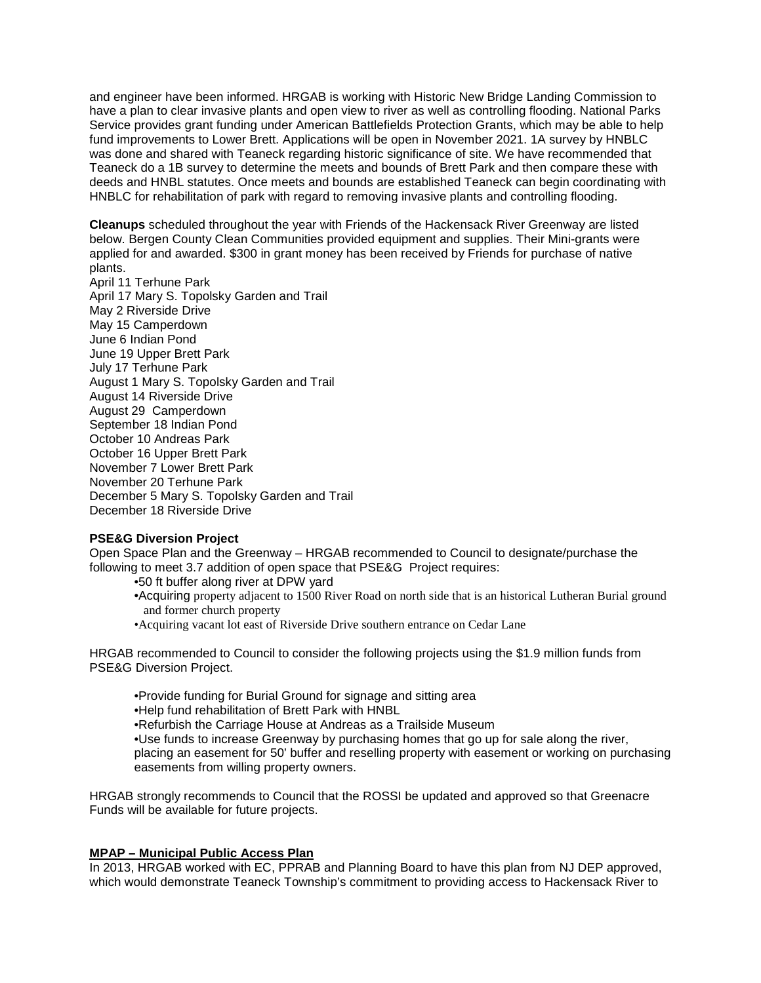and engineer have been informed. HRGAB is working with Historic New Bridge Landing Commission to have a plan to clear invasive plants and open view to river as well as controlling flooding. National Parks Service provides grant funding under American Battlefields Protection Grants, which may be able to help fund improvements to Lower Brett. Applications will be open in November 2021. 1A survey by HNBLC was done and shared with Teaneck regarding historic significance of site. We have recommended that Teaneck do a 1B survey to determine the meets and bounds of Brett Park and then compare these with deeds and HNBL statutes. Once meets and bounds are established Teaneck can begin coordinating with HNBLC for rehabilitation of park with regard to removing invasive plants and controlling flooding.

**Cleanups** scheduled throughout the year with Friends of the Hackensack River Greenway are listed below. Bergen County Clean Communities provided equipment and supplies. Their Mini-grants were applied for and awarded. \$300 in grant money has been received by Friends for purchase of native plants.

April 11 Terhune Park April 17 Mary S. Topolsky Garden and Trail May 2 Riverside Drive May 15 Camperdown June 6 Indian Pond June 19 Upper Brett Park July 17 Terhune Park August 1 Mary S. Topolsky Garden and Trail August 14 Riverside Drive August 29 Camperdown September 18 Indian Pond October 10 Andreas Park October 16 Upper Brett Park November 7 Lower Brett Park November 20 Terhune Park December 5 Mary S. Topolsky Garden and Trail December 18 Riverside Drive

## **PSE&G Diversion Project**

Open Space Plan and the Greenway – HRGAB recommended to Council to designate/purchase the following to meet 3.7 addition of open space that PSE&G Project requires:

•50 ft buffer along river at DPW yard

- •Acquiring property adjacent to 1500 River Road on north side that is an historical Lutheran Burial ground and former church property
- •Acquiring vacant lot east of Riverside Drive southern entrance on Cedar Lane

HRGAB recommended to Council to consider the following projects using the \$1.9 million funds from PSE&G Diversion Project.

•Provide funding for Burial Ground for signage and sitting area •Help fund rehabilitation of Brett Park with HNBL •Refurbish the Carriage House at Andreas as a Trailside Museum •Use funds to increase Greenway by purchasing homes that go up for sale along the river, placing an easement for 50' buffer and reselling property with easement or working on purchasing easements from willing property owners.

HRGAB strongly recommends to Council that the ROSSI be updated and approved so that Greenacre Funds will be available for future projects.

## **MPAP – Municipal Public Access Plan**

In 2013, HRGAB worked with EC, PPRAB and Planning Board to have this plan from NJ DEP approved, which would demonstrate Teaneck Township's commitment to providing access to Hackensack River to